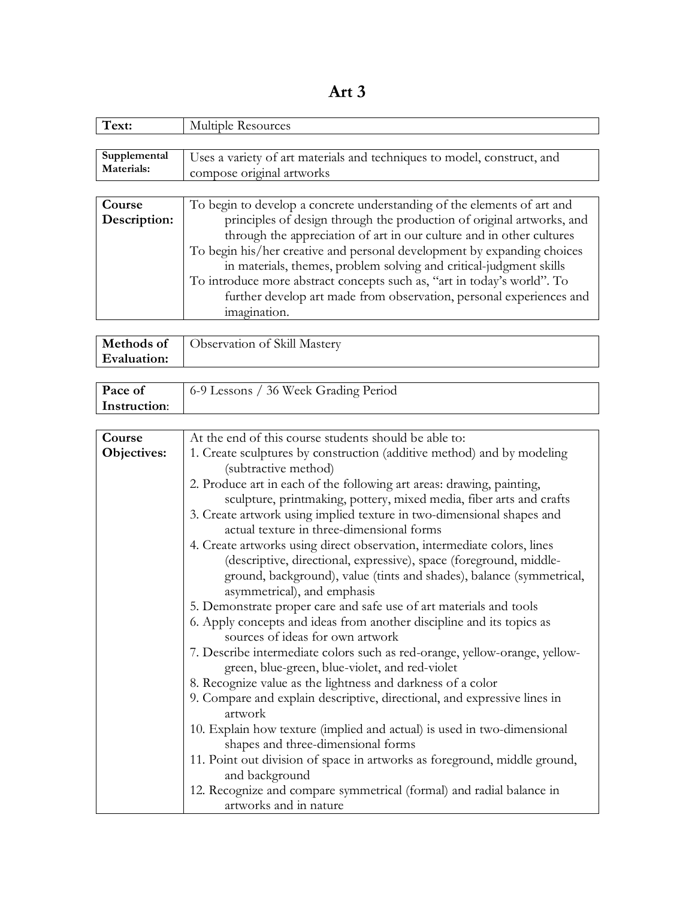**Art 3**

| Text:        | Multiple Resources                                                      |
|--------------|-------------------------------------------------------------------------|
|              |                                                                         |
| Supplemental | Uses a variety of art materials and techniques to model, construct, and |
| Materials:   | compose original artworks                                               |
|              |                                                                         |
| Course       | To begin to develop a concrete understanding of the elements of art and |
| Description: | principles of design through the production of original artworks, and   |
|              | through the appreciation of art in our culture and in other cultures    |
|              | To begin his/her creative and personal development by expanding choices |
|              | in materials, themes, problem solving and critical-judgment skills      |
|              | To introduce more abstract concepts such as, "art in today's world". To |
|              | further develop art made from observation, personal experiences and     |
|              | imagination.                                                            |

| <b>Evaluation:</b> | <b>Methods of</b>   Observation of Skill Mastery |
|--------------------|--------------------------------------------------|
|                    |                                                  |

| Pace of      | 6-9 Lessons / 36 Week Grading Period |
|--------------|--------------------------------------|
| Instruction: |                                      |

| Course      | At the end of this course students should be able to:                      |
|-------------|----------------------------------------------------------------------------|
| Objectives: | 1. Create sculptures by construction (additive method) and by modeling     |
|             | (subtractive method)                                                       |
|             | 2. Produce art in each of the following art areas: drawing, painting,      |
|             | sculpture, printmaking, pottery, mixed media, fiber arts and crafts        |
|             | 3. Create artwork using implied texture in two-dimensional shapes and      |
|             | actual texture in three-dimensional forms                                  |
|             | 4. Create artworks using direct observation, intermediate colors, lines    |
|             | (descriptive, directional, expressive), space (foreground, middle-         |
|             | ground, background), value (tints and shades), balance (symmetrical,       |
|             | asymmetrical), and emphasis                                                |
|             | 5. Demonstrate proper care and safe use of art materials and tools         |
|             | 6. Apply concepts and ideas from another discipline and its topics as      |
|             | sources of ideas for own artwork                                           |
|             | 7. Describe intermediate colors such as red-orange, yellow-orange, yellow- |
|             | green, blue-green, blue-violet, and red-violet                             |
|             | 8. Recognize value as the lightness and darkness of a color                |
|             | 9. Compare and explain descriptive, directional, and expressive lines in   |
|             | artwork                                                                    |
|             | 10. Explain how texture (implied and actual) is used in two-dimensional    |
|             | shapes and three-dimensional forms                                         |
|             | 11. Point out division of space in artworks as foreground, middle ground,  |
|             | and background                                                             |
|             | 12. Recognize and compare symmetrical (formal) and radial balance in       |
|             | artworks and in nature                                                     |